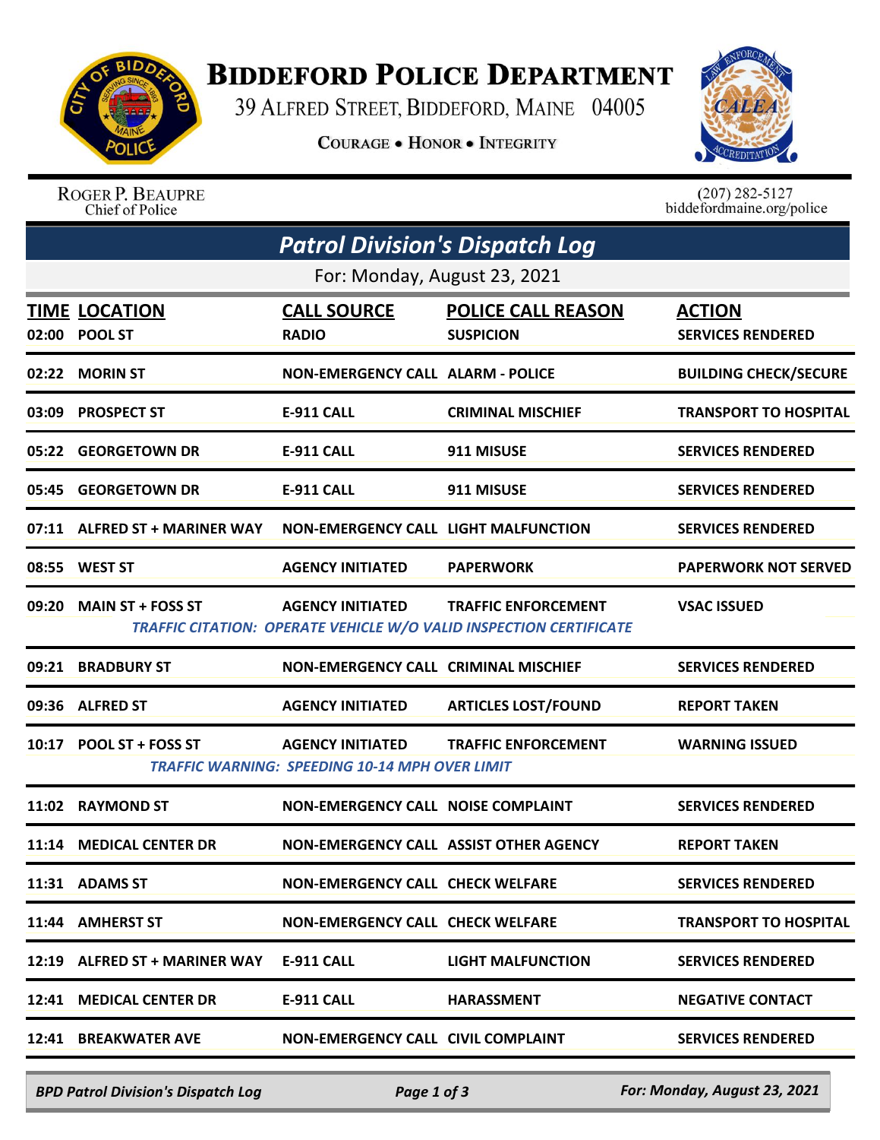

## **BIDDEFORD POLICE DEPARTMENT**

39 ALFRED STREET, BIDDEFORD, MAINE 04005

**COURAGE . HONOR . INTEGRITY** 



ROGER P. BEAUPRE Chief of Police

 $(207)$  282-5127 biddefordmaine.org/police

| <b>Patrol Division's Dispatch Log</b> |                                        |                                                                                  |                                                                                                         |                                           |  |  |  |
|---------------------------------------|----------------------------------------|----------------------------------------------------------------------------------|---------------------------------------------------------------------------------------------------------|-------------------------------------------|--|--|--|
| For: Monday, August 23, 2021          |                                        |                                                                                  |                                                                                                         |                                           |  |  |  |
| 02:00                                 | <b>TIME LOCATION</b><br><b>POOL ST</b> | <b>CALL SOURCE</b><br><b>RADIO</b>                                               | <b>POLICE CALL REASON</b><br><b>SUSPICION</b>                                                           | <b>ACTION</b><br><b>SERVICES RENDERED</b> |  |  |  |
|                                       | 02:22 MORIN ST                         | <b>NON-EMERGENCY CALL ALARM - POLICE</b>                                         |                                                                                                         | <b>BUILDING CHECK/SECURE</b>              |  |  |  |
|                                       | 03:09 PROSPECT ST                      | <b>E-911 CALL</b>                                                                | <b>CRIMINAL MISCHIEF</b>                                                                                | <b>TRANSPORT TO HOSPITAL</b>              |  |  |  |
| 05:22                                 | <b>GEORGETOWN DR</b>                   | <b>E-911 CALL</b>                                                                | 911 MISUSE                                                                                              | <b>SERVICES RENDERED</b>                  |  |  |  |
|                                       | 05:45 GEORGETOWN DR                    | E-911 CALL                                                                       | 911 MISUSE                                                                                              | <b>SERVICES RENDERED</b>                  |  |  |  |
|                                       | 07:11 ALFRED ST + MARINER WAY          | <b>NON-EMERGENCY CALL LIGHT MALFUNCTION</b>                                      |                                                                                                         | <b>SERVICES RENDERED</b>                  |  |  |  |
|                                       | 08:55 WEST ST                          | <b>AGENCY INITIATED</b>                                                          | <b>PAPERWORK</b>                                                                                        | <b>PAPERWORK NOT SERVED</b>               |  |  |  |
|                                       | 09:20 MAIN ST + FOSS ST                | <b>AGENCY INITIATED</b>                                                          | <b>TRAFFIC ENFORCEMENT</b><br><b>TRAFFIC CITATION: OPERATE VEHICLE W/O VALID INSPECTION CERTIFICATE</b> | <b>VSAC ISSUED</b>                        |  |  |  |
|                                       | 09:21 BRADBURY ST                      | NON-EMERGENCY CALL CRIMINAL MISCHIEF                                             |                                                                                                         | <b>SERVICES RENDERED</b>                  |  |  |  |
|                                       | 09:36 ALFRED ST                        | <b>AGENCY INITIATED</b>                                                          | <b>ARTICLES LOST/FOUND</b>                                                                              | <b>REPORT TAKEN</b>                       |  |  |  |
|                                       | 10:17 POOL ST + FOSS ST                | <b>AGENCY INITIATED</b><br><b>TRAFFIC WARNING: SPEEDING 10-14 MPH OVER LIMIT</b> | <b>TRAFFIC ENFORCEMENT</b>                                                                              | <b>WARNING ISSUED</b>                     |  |  |  |
| 11:02                                 | <b>RAYMOND ST</b>                      | NON-EMERGENCY CALL NOISE COMPLAINT                                               |                                                                                                         | <b>SERVICES RENDERED</b>                  |  |  |  |
| 11:14                                 | <b>MEDICAL CENTER DR</b>               | NON-EMERGENCY CALL ASSIST OTHER AGENCY                                           |                                                                                                         | <b>REPORT TAKEN</b>                       |  |  |  |
|                                       | 11:31 ADAMS ST                         | <b>NON-EMERGENCY CALL CHECK WELFARE</b>                                          |                                                                                                         | <b>SERVICES RENDERED</b>                  |  |  |  |
|                                       | 11:44 AMHERST ST                       | <b>NON-EMERGENCY CALL CHECK WELFARE</b>                                          |                                                                                                         | <b>TRANSPORT TO HOSPITAL</b>              |  |  |  |
|                                       | 12:19 ALFRED ST + MARINER WAY          | <b>E-911 CALL</b>                                                                | <b>LIGHT MALFUNCTION</b>                                                                                | <b>SERVICES RENDERED</b>                  |  |  |  |
|                                       | 12:41 MEDICAL CENTER DR                | <b>E-911 CALL</b>                                                                | <b>HARASSMENT</b>                                                                                       | <b>NEGATIVE CONTACT</b>                   |  |  |  |
|                                       | 12:41 BREAKWATER AVE                   | NON-EMERGENCY CALL CIVIL COMPLAINT                                               |                                                                                                         | <b>SERVICES RENDERED</b>                  |  |  |  |

*BPD Patrol Division's Dispatch Log Page 1 of 3 For: Monday, August 23, 2021*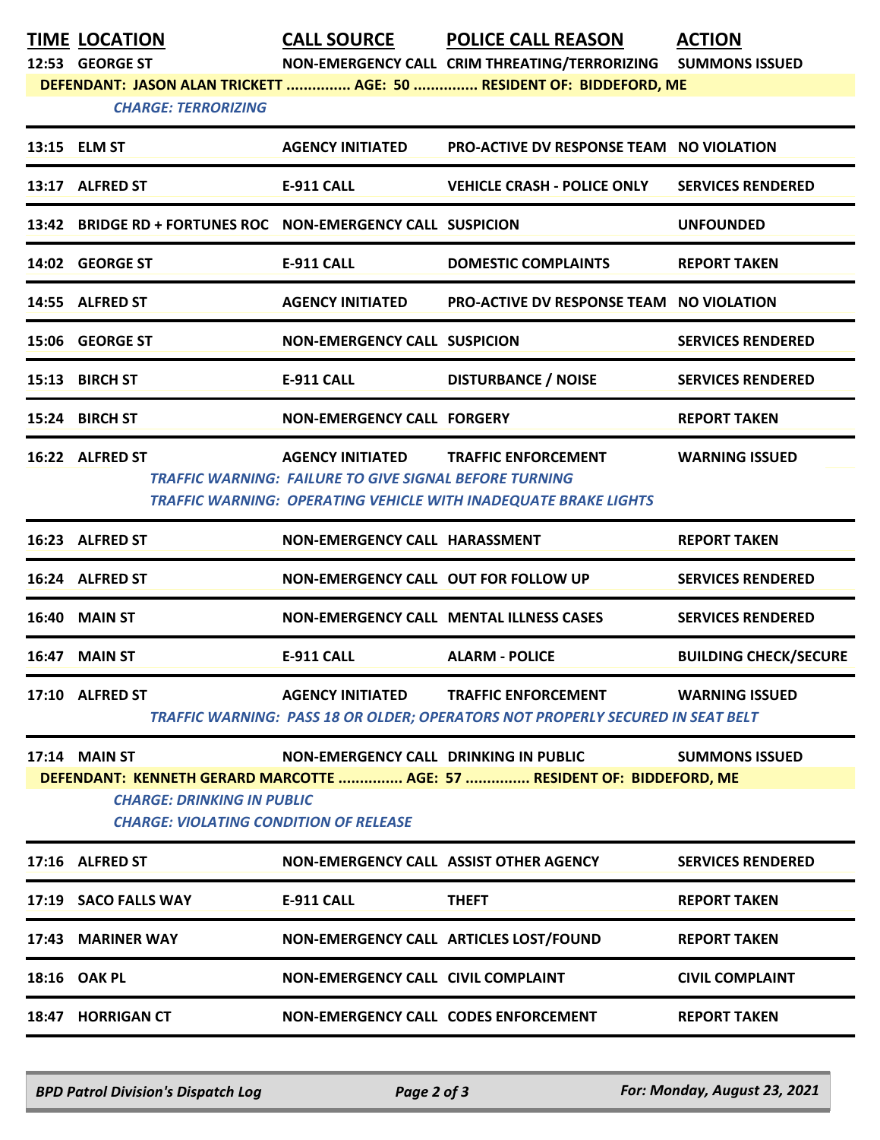**TIME LOCATION CALL SOURCE POLICE CALL REASON ACTION**

**12:53 GEORGE ST NON-EMERGENCY CALL CRIM THREATING/TERRORIZING SUMMONS ISSUED**

**DEFENDANT: JASON ALAN TRICKETT ............... AGE: 50 ............... RESIDENT OF: BIDDEFORD, ME**

## *CHARGE: TERRORIZING*

|                                                                                                                                                               | 13:15 ELM ST                                                | <b>AGENCY INITIATED</b>                                       | <b>PRO-ACTIVE DV RESPONSE TEAM NO VIOLATION</b>                                                                      |                              |  |  |
|---------------------------------------------------------------------------------------------------------------------------------------------------------------|-------------------------------------------------------------|---------------------------------------------------------------|----------------------------------------------------------------------------------------------------------------------|------------------------------|--|--|
|                                                                                                                                                               | 13:17 ALFRED ST                                             | <b>E-911 CALL</b>                                             | <b>VEHICLE CRASH - POLICE ONLY</b>                                                                                   | <b>SERVICES RENDERED</b>     |  |  |
|                                                                                                                                                               | 13:42 BRIDGE RD + FORTUNES ROC NON-EMERGENCY CALL SUSPICION |                                                               |                                                                                                                      | <b>UNFOUNDED</b>             |  |  |
|                                                                                                                                                               | 14:02 GEORGE ST                                             | <b>E-911 CALL</b>                                             | <b>DOMESTIC COMPLAINTS</b>                                                                                           | <b>REPORT TAKEN</b>          |  |  |
|                                                                                                                                                               | 14:55 ALFRED ST                                             | <b>AGENCY INITIATED</b>                                       | <b>PRO-ACTIVE DV RESPONSE TEAM NO VIOLATION</b>                                                                      |                              |  |  |
|                                                                                                                                                               | 15:06 GEORGE ST                                             | <b>NON-EMERGENCY CALL SUSPICION</b>                           |                                                                                                                      | <b>SERVICES RENDERED</b>     |  |  |
|                                                                                                                                                               | 15:13 BIRCH ST                                              | <b>E-911 CALL</b>                                             | <b>DISTURBANCE / NOISE</b>                                                                                           | <b>SERVICES RENDERED</b>     |  |  |
|                                                                                                                                                               | 15:24 BIRCH ST                                              | <b>NON-EMERGENCY CALL FORGERY</b>                             |                                                                                                                      | <b>REPORT TAKEN</b>          |  |  |
|                                                                                                                                                               | 16:22 ALFRED ST                                             | <b>TRAFFIC WARNING: FAILURE TO GIVE SIGNAL BEFORE TURNING</b> | AGENCY INITIATED TRAFFIC ENFORCEMENT<br><b>TRAFFIC WARNING: OPERATING VEHICLE WITH INADEQUATE BRAKE LIGHTS</b>       | <b>WARNING ISSUED</b>        |  |  |
|                                                                                                                                                               | 16:23 ALFRED ST                                             | NON-EMERGENCY CALL HARASSMENT                                 |                                                                                                                      | <b>REPORT TAKEN</b>          |  |  |
|                                                                                                                                                               | 16:24 ALFRED ST                                             | NON-EMERGENCY CALL OUT FOR FOLLOW UP                          |                                                                                                                      | <b>SERVICES RENDERED</b>     |  |  |
|                                                                                                                                                               | <b>16:40 MAIN ST</b>                                        |                                                               | NON-EMERGENCY CALL MENTAL ILLNESS CASES                                                                              | <b>SERVICES RENDERED</b>     |  |  |
|                                                                                                                                                               | 16:47 MAIN ST                                               | <b>E-911 CALL</b>                                             | <b>ALARM - POLICE</b>                                                                                                | <b>BUILDING CHECK/SECURE</b> |  |  |
|                                                                                                                                                               | 17:10 ALFRED ST                                             | <b>AGENCY INITIATED</b>                                       | TRAFFIC ENFORCEMENT WARNING ISSUED<br>TRAFFIC WARNING: PASS 18 OR OLDER; OPERATORS NOT PROPERLY SECURED IN SEAT BELT |                              |  |  |
|                                                                                                                                                               | <b>17:14 MAIN ST</b>                                        | <b>NON-EMERGENCY CALL DRINKING IN PUBLIC</b>                  |                                                                                                                      | <b>SUMMONS ISSUED</b>        |  |  |
| DEFENDANT: KENNETH GERARD MARCOTTE  AGE: 57  RESIDENT OF: BIDDEFORD, ME<br><b>CHARGE: DRINKING IN PUBLIC</b><br><b>CHARGE: VIOLATING CONDITION OF RELEASE</b> |                                                             |                                                               |                                                                                                                      |                              |  |  |
|                                                                                                                                                               | 17:16 ALFRED ST                                             | NON-EMERGENCY CALL ASSIST OTHER AGENCY                        |                                                                                                                      | <b>SERVICES RENDERED</b>     |  |  |
|                                                                                                                                                               | 17:19 SACO FALLS WAY                                        | <b>E-911 CALL</b>                                             | <b>THEFT</b>                                                                                                         | <b>REPORT TAKEN</b>          |  |  |
|                                                                                                                                                               | 17:43 MARINER WAY                                           | NON-EMERGENCY CALL ARTICLES LOST/FOUND                        |                                                                                                                      | <b>REPORT TAKEN</b>          |  |  |
|                                                                                                                                                               | 18:16 OAK PL                                                | NON-EMERGENCY CALL CIVIL COMPLAINT                            |                                                                                                                      | <b>CIVIL COMPLAINT</b>       |  |  |
|                                                                                                                                                               | 18:47 HORRIGAN CT                                           | NON-EMERGENCY CALL CODES ENFORCEMENT                          |                                                                                                                      | <b>REPORT TAKEN</b>          |  |  |
|                                                                                                                                                               |                                                             |                                                               |                                                                                                                      |                              |  |  |

*BPD Patrol Division's Dispatch Log Page 2 of 3 For: Monday, August 23, 2021*